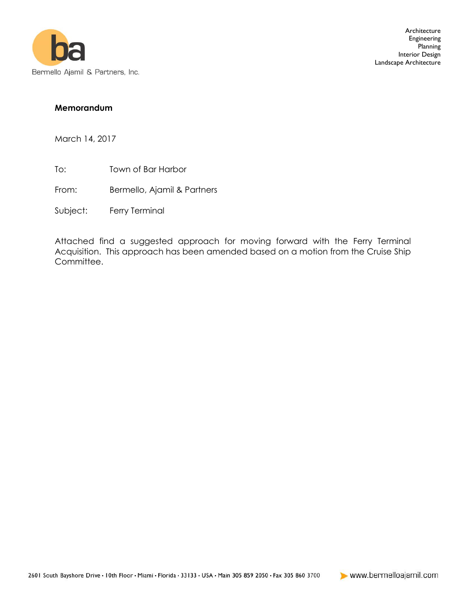

## **Memorandum**

March 14, 2017

- To: Town of Bar Harbor
- From: Bermello, Ajamil & Partners
- Subject: Ferry Terminal

Attached find a suggested approach for moving forward with the Ferry Terminal Acquisition. This approach has been amended based on a motion from the Cruise Ship Committee.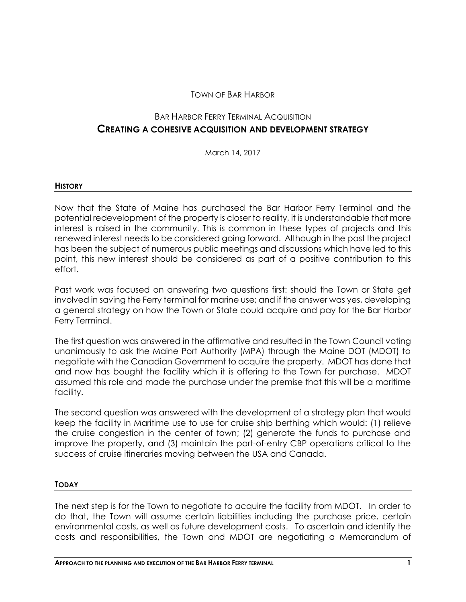## TOWN OF BAR HARBOR

# BAR HARBOR FERRY TERMINAL ACQUISITION **CREATING A COHESIVE ACQUISITION AND DEVELOPMENT STRATEGY**

March 14, 2017

#### **HISTORY**

Now that the State of Maine has purchased the Bar Harbor Ferry Terminal and the potential redevelopment of the property is closer to reality, it is understandable that more interest is raised in the community. This is common in these types of projects and this renewed interest needs to be considered going forward. Although in the past the project has been the subject of numerous public meetings and discussions which have led to this point, this new interest should be considered as part of a positive contribution to this effort.

Past work was focused on answering two questions first: should the Town or State get involved in saving the Ferry terminal for marine use; and if the answer was yes, developing a general strategy on how the Town or State could acquire and pay for the Bar Harbor Ferry Terminal.

The first question was answered in the affirmative and resulted in the Town Council voting unanimously to ask the Maine Port Authority (MPA) through the Maine DOT (MDOT) to negotiate with the Canadian Government to acquire the property. MDOT has done that and now has bought the facility which it is offering to the Town for purchase. MDOT assumed this role and made the purchase under the premise that this will be a maritime facility.

The second question was answered with the development of a strategy plan that would keep the facility in Maritime use to use for cruise ship berthing which would: (1) relieve the cruise congestion in the center of town; (2) generate the funds to purchase and improve the property, and (3) maintain the port-of-entry CBP operations critical to the success of cruise itineraries moving between the USA and Canada.

## **TODAY**

The next step is for the Town to negotiate to acquire the facility from MDOT. In order to do that, the Town will assume certain liabilities including the purchase price, certain environmental costs, as well as future development costs. To ascertain and identify the costs and responsibilities, the Town and MDOT are negotiating a Memorandum of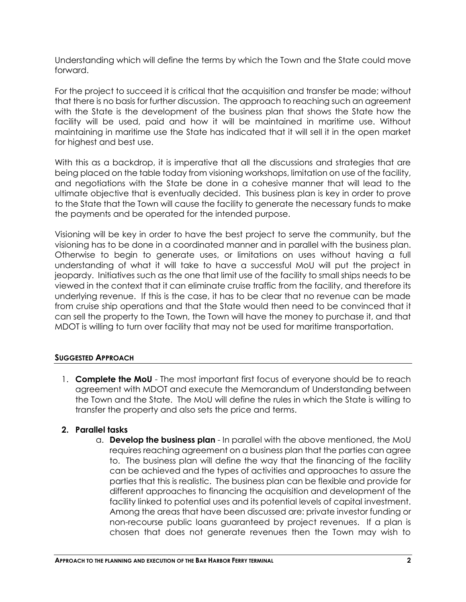Understanding which will define the terms by which the Town and the State could move forward.

For the project to succeed it is critical that the acquisition and transfer be made; without that there is no basis for further discussion. The approach to reaching such an agreement with the State is the development of the business plan that shows the State how the facility will be used, paid and how it will be maintained in maritime use. Without maintaining in maritime use the State has indicated that it will sell it in the open market for highest and best use.

With this as a backdrop, it is imperative that all the discussions and strategies that are being placed on the table today from visioning workshops, limitation on use of the facility, and negotiations with the State be done in a cohesive manner that will lead to the ultimate objective that is eventually decided. This business plan is key in order to prove to the State that the Town will cause the facility to generate the necessary funds to make the payments and be operated for the intended purpose.

Visioning will be key in order to have the best project to serve the community, but the visioning has to be done in a coordinated manner and in parallel with the business plan. Otherwise to begin to generate uses, or limitations on uses without having a full understanding of what it will take to have a successful MoU will put the project in jeopardy. Initiatives such as the one that limit use of the facility to small ships needs to be viewed in the context that it can eliminate cruise traffic from the facility, and therefore its underlying revenue. If this is the case, it has to be clear that no revenue can be made from cruise ship operations and that the State would then need to be convinced that it can sell the property to the Town, the Town will have the money to purchase it, and that MDOT is willing to turn over facility that may not be used for maritime transportation.

## **SUGGESTED APPROACH**

1. **Complete the MoU** - The most important first focus of everyone should be to reach agreement with MDOT and execute the Memorandum of Understanding between the Town and the State. The MoU will define the rules in which the State is willing to transfer the property and also sets the price and terms.

# **2. Parallel tasks**

a. **Develop the business plan** - In parallel with the above mentioned, the MoU requires reaching agreement on a business plan that the parties can agree to. The business plan will define the way that the financing of the facility can be achieved and the types of activities and approaches to assure the parties that this is realistic. The business plan can be flexible and provide for different approaches to financing the acquisition and development of the facility linked to potential uses and its potential levels of capital investment. Among the areas that have been discussed are: private investor funding or non-recourse public loans guaranteed by project revenues. If a plan is chosen that does not generate revenues then the Town may wish to